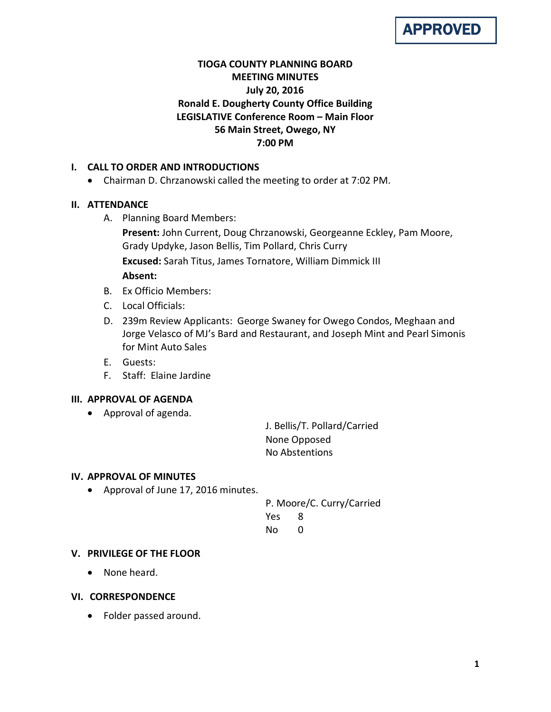

# **TIOGA COUNTY PLANNING BOARD MEETING MINUTES July 20, 2016 Ronald E. Dougherty County Office Building LEGISLATIVE Conference Room – Main Floor 56 Main Street, Owego, NY 7:00 PM**

# **I. CALL TO ORDER AND INTRODUCTIONS**

• Chairman D. Chrzanowski called the meeting to order at 7:02 PM.

# **II. ATTENDANCE**

A. Planning Board Members:

**Present:** John Current, Doug Chrzanowski, Georgeanne Eckley, Pam Moore, Grady Updyke, Jason Bellis, Tim Pollard, Chris Curry **Excused:** Sarah Titus, James Tornatore, William Dimmick III **Absent:**

- B. Ex Officio Members:
- C. Local Officials:
- D. 239m Review Applicants: George Swaney for Owego Condos, Meghaan and Jorge Velasco of MJ's Bard and Restaurant, and Joseph Mint and Pearl Simonis for Mint Auto Sales
- E. Guests:
- F. Staff: Elaine Jardine

# **III. APPROVAL OF AGENDA**

• Approval of agenda.

J. Bellis/T. Pollard/Carried None Opposed No Abstentions

# **IV. APPROVAL OF MINUTES**

• Approval of June 17, 2016 minutes.

P. Moore/C. Curry/Carried Yes 8 No 0

# **V. PRIVILEGE OF THE FLOOR**

• None heard.

# **VI. CORRESPONDENCE**

• Folder passed around.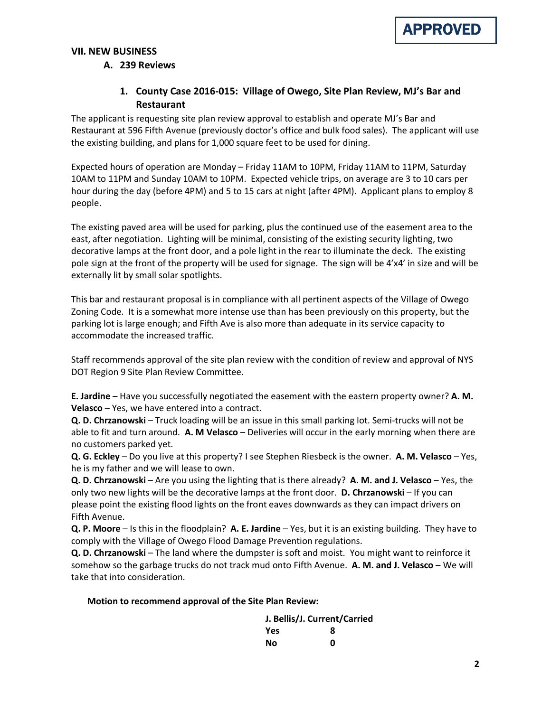

# **VII. NEW BUSINESS**

# **A. 239 Reviews**

# **1. County Case 2016-015: Village of Owego, Site Plan Review, MJ's Bar and Restaurant**

The applicant is requesting site plan review approval to establish and operate MJ's Bar and Restaurant at 596 Fifth Avenue (previously doctor's office and bulk food sales). The applicant will use the existing building, and plans for 1,000 square feet to be used for dining.

Expected hours of operation are Monday – Friday 11AM to 10PM, Friday 11AM to 11PM, Saturday 10AM to 11PM and Sunday 10AM to 10PM. Expected vehicle trips, on average are 3 to 10 cars per hour during the day (before 4PM) and 5 to 15 cars at night (after 4PM). Applicant plans to employ 8 people.

The existing paved area will be used for parking, plus the continued use of the easement area to the east, after negotiation. Lighting will be minimal, consisting of the existing security lighting, two decorative lamps at the front door, and a pole light in the rear to illuminate the deck. The existing pole sign at the front of the property will be used for signage. The sign will be 4'x4' in size and will be externally lit by small solar spotlights.

This bar and restaurant proposal is in compliance with all pertinent aspects of the Village of Owego Zoning Code. It is a somewhat more intense use than has been previously on this property, but the parking lot is large enough; and Fifth Ave is also more than adequate in its service capacity to accommodate the increased traffic.

Staff recommends approval of the site plan review with the condition of review and approval of NYS DOT Region 9 Site Plan Review Committee.

**E. Jardine** – Have you successfully negotiated the easement with the eastern property owner? **A. M. Velasco** – Yes, we have entered into a contract.

**Q. D. Chrzanowski** – Truck loading will be an issue in this small parking lot. Semi-trucks will not be able to fit and turn around. **A. M Velasco** – Deliveries will occur in the early morning when there are no customers parked yet.

**Q. G. Eckley** – Do you live at this property? I see Stephen Riesbeck is the owner. **A. M. Velasco** – Yes, he is my father and we will lease to own.

**Q. D. Chrzanowski** – Are you using the lighting that is there already? **A. M. and J. Velasco** – Yes, the only two new lights will be the decorative lamps at the front door. **D. Chrzanowski** – If you can please point the existing flood lights on the front eaves downwards as they can impact drivers on Fifth Avenue.

**Q. P. Moore** – Is this in the floodplain? **A. E. Jardine** – Yes, but it is an existing building. They have to comply with the Village of Owego Flood Damage Prevention regulations.

**Q. D. Chrzanowski** – The land where the dumpster is soft and moist. You might want to reinforce it somehow so the garbage trucks do not track mud onto Fifth Avenue. **A. M. and J. Velasco** – We will take that into consideration.

#### **Motion to recommend approval of the Site Plan Review:**

| J. Bellis/J. Current/Carried |   |
|------------------------------|---|
| Yes                          | 8 |
| Nο                           | ŋ |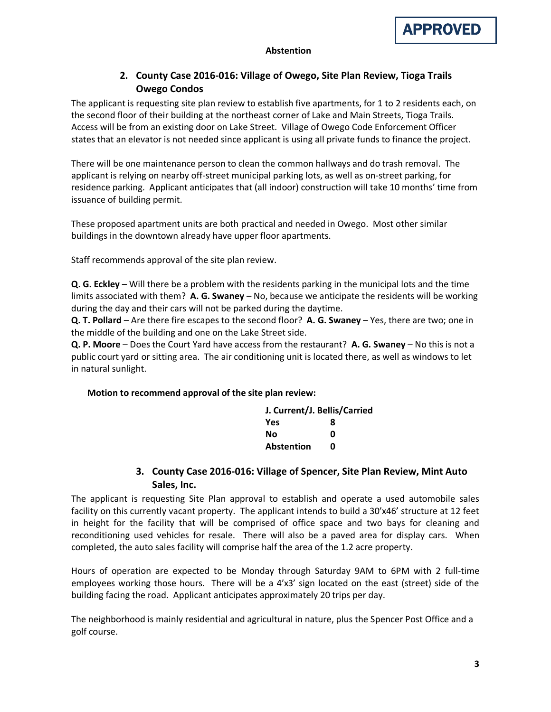

#### **Abstention**

# **2. County Case 2016-016: Village of Owego, Site Plan Review, Tioga Trails Owego Condos**

The applicant is requesting site plan review to establish five apartments, for 1 to 2 residents each, on the second floor of their building at the northeast corner of Lake and Main Streets, Tioga Trails. Access will be from an existing door on Lake Street. Village of Owego Code Enforcement Officer states that an elevator is not needed since applicant is using all private funds to finance the project.

There will be one maintenance person to clean the common hallways and do trash removal. The applicant is relying on nearby off-street municipal parking lots, as well as on-street parking, for residence parking. Applicant anticipates that (all indoor) construction will take 10 months' time from issuance of building permit.

These proposed apartment units are both practical and needed in Owego. Most other similar buildings in the downtown already have upper floor apartments.

Staff recommends approval of the site plan review.

**Q. G. Eckley** – Will there be a problem with the residents parking in the municipal lots and the time limits associated with them? **A. G. Swaney** – No, because we anticipate the residents will be working during the day and their cars will not be parked during the daytime.

**Q. T. Pollard** – Are there fire escapes to the second floor? **A. G. Swaney** – Yes, there are two; one in the middle of the building and one on the Lake Street side.

**Q. P. Moore** – Does the Court Yard have access from the restaurant? **A. G. Swaney** – No this is not a public court yard or sitting area. The air conditioning unit is located there, as well as windows to let in natural sunlight.

#### **Motion to recommend approval of the site plan review:**

| J. Current/J. Bellis/Carried |   |  |
|------------------------------|---|--|
| <b>Yes</b>                   | 8 |  |
| Nο                           | ŋ |  |
| <b>Abstention</b>            | ŋ |  |

# **3. County Case 2016-016: Village of Spencer, Site Plan Review, Mint Auto Sales, Inc.**

The applicant is requesting Site Plan approval to establish and operate a used automobile sales facility on this currently vacant property. The applicant intends to build a 30'x46' structure at 12 feet in height for the facility that will be comprised of office space and two bays for cleaning and reconditioning used vehicles for resale. There will also be a paved area for display cars. When completed, the auto sales facility will comprise half the area of the 1.2 acre property.

Hours of operation are expected to be Monday through Saturday 9AM to 6PM with 2 full-time employees working those hours. There will be a 4'x3' sign located on the east (street) side of the building facing the road. Applicant anticipates approximately 20 trips per day.

The neighborhood is mainly residential and agricultural in nature, plus the Spencer Post Office and a golf course.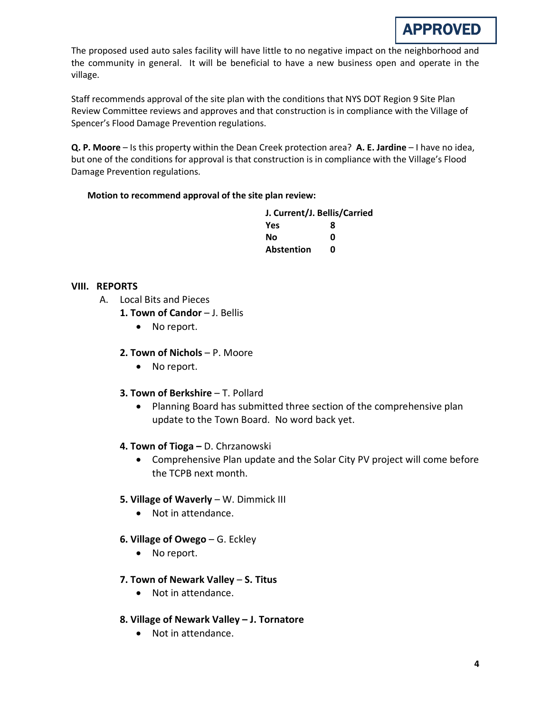

The proposed used auto sales facility will have little to no negative impact on the neighborhood and the community in general. It will be beneficial to have a new business open and operate in the village.

Staff recommends approval of the site plan with the conditions that NYS DOT Region 9 Site Plan Review Committee reviews and approves and that construction is in compliance with the Village of Spencer's Flood Damage Prevention regulations.

**Q. P. Moore** – Is this property within the Dean Creek protection area? **A. E. Jardine** – I have no idea, but one of the conditions for approval is that construction is in compliance with the Village's Flood Damage Prevention regulations.

### **Motion to recommend approval of the site plan review:**

| J. Current/J. Bellis/Carried |   |  |
|------------------------------|---|--|
| Yes                          | 8 |  |
| Nο                           | ŋ |  |
| <b>Abstention</b>            | n |  |

### **VIII. REPORTS**

- A. Local Bits and Pieces
	- 1. Town of Candor J. Bellis
		- No report.
	- **2. Town of Nichols**  P. Moore
		- No report.
	- **3. Town of Berkshire T. Pollard** 
		- Planning Board has submitted three section of the comprehensive plan update to the Town Board. No word back yet.
	- **4. Town of Tioga –** D. Chrzanowski
		- Comprehensive Plan update and the Solar City PV project will come before the TCPB next month.

#### **5. Village of Waverly** – W. Dimmick III

- Not in attendance.
- **6. Village of Owego** G. Eckley
	- No report.
- **7. Town of Newark Valley S. Titus**
	- Not in attendance.
- **8. Village of Newark Valley – J. Tornatore**
	- Not in attendance.